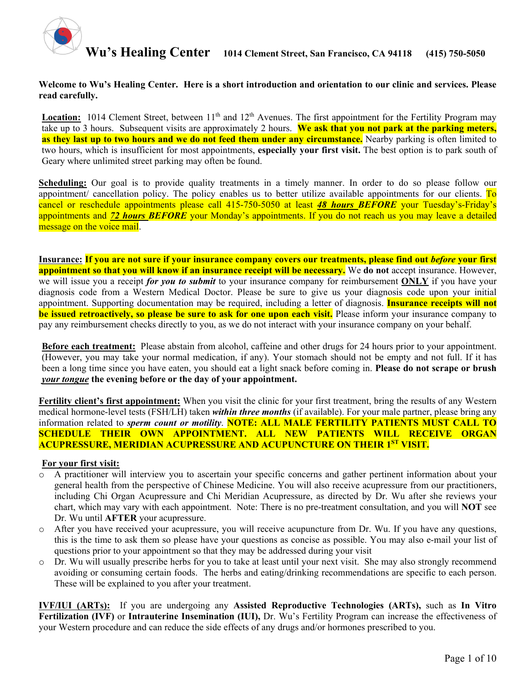

#### **Welcome to Wu's Healing Center. Here is a short introduction and orientation to our clinic and services. Please read carefully.**

**Location:** 1014 Clement Street, between  $11<sup>th</sup>$  and  $12<sup>th</sup>$  Avenues. The first appointment for the Fertility Program may take up to 3 hours. Subsequent visits are approximately 2 hours. **We ask that you not park at the parking meters, as they last up to two hours and we do not feed them under any circumstance.** Nearby parking is often limited to two hours, which is insufficient for most appointments, **especially your first visit.** The best option is to park south of Geary where unlimited street parking may often be found.

**Scheduling:** Our goal is to provide quality treatments in a timely manner. In order to do so please follow our appointment/ cancellation policy. The policy enables us to better utilize available appointments for our clients. To cancel or reschedule appointments please call 415-750-5050 at least *48 hours BEFORE* your Tuesday's-Friday's appointments and *72 hours BEFORE* your Monday's appointments. If you do not reach us you may leave a detailed message on the voice mail.

**Insurance:** If you are not sure if your insurance company covers our treatments, please find out *before* your first **appointment so that you will know if an insurance receipt will be necessary.** We **do not** accept insurance. However, we will issue you a receipt *for you to submit* to your insurance company for reimbursement **ONLY** if you have your diagnosis code from a Western Medical Doctor. Please be sure to give us your diagnosis code upon your initial appointment. Supporting documentation may be required, including a letter of diagnosis. **Insurance receipts will not be issued retroactively, so please be sure to ask for one upon each visit.** Please inform your insurance company to pay any reimbursement checks directly to you, as we do not interact with your insurance company on your behalf.

**Before each treatment:** Please abstain from alcohol, caffeine and other drugs for 24 hours prior to your appointment. (However, you may take your normal medication, if any). Your stomach should not be empty and not full. If it has been a long time since you have eaten, you should eat a light snack before coming in. **Please do not scrape or brush**  *your tongue* **the evening before or the day of your appointment.** 

**Fertility client's first appointment:** When you visit the clinic for your first treatment, bring the results of any Western medical hormone-level tests (FSH/LH) taken *within three months* (if available). For your male partner, please bring any information related to *sperm count or motility*. **NOTE: ALL MALE FERTILITY PATIENTS MUST CALL TO SCHEDULE THEIR OWN APPOINTMENT. ALL NEW PATIENTS WILL RECEIVE ORGAN ACUPRESSURE, MERIDIAN ACUPRESSURE AND ACUPUNCTURE ON THEIR 1ST VISIT.**

#### **For your first visit:**

- o A practitioner will interview you to ascertain your specific concerns and gather pertinent information about your general health from the perspective of Chinese Medicine. You will also receive acupressure from our practitioners, including Chi Organ Acupressure and Chi Meridian Acupressure, as directed by Dr. Wu after she reviews your chart, which may vary with each appointment. Note: There is no pre-treatment consultation, and you will **NOT** see Dr. Wu until **AFTER** your acupressure.
- o After you have received your acupressure, you will receive acupuncture from Dr. Wu. If you have any questions, this is the time to ask them so please have your questions as concise as possible. You may also e-mail your list of questions prior to your appointment so that they may be addressed during your visit
- o Dr. Wu will usually prescribe herbs for you to take at least until your next visit. She may also strongly recommend avoiding or consuming certain foods. The herbs and eating/drinking recommendations are specific to each person. These will be explained to you after your treatment.

**IVF/IUI (ARTs):** If you are undergoing any **Assisted Reproductive Technologies (ARTs),** such as **In Vitro Fertilization (IVF)** or **Intrauterine Insemination (IUI),** Dr. Wu's Fertility Program can increase the effectiveness of your Western procedure and can reduce the side effects of any drugs and/or hormones prescribed to you.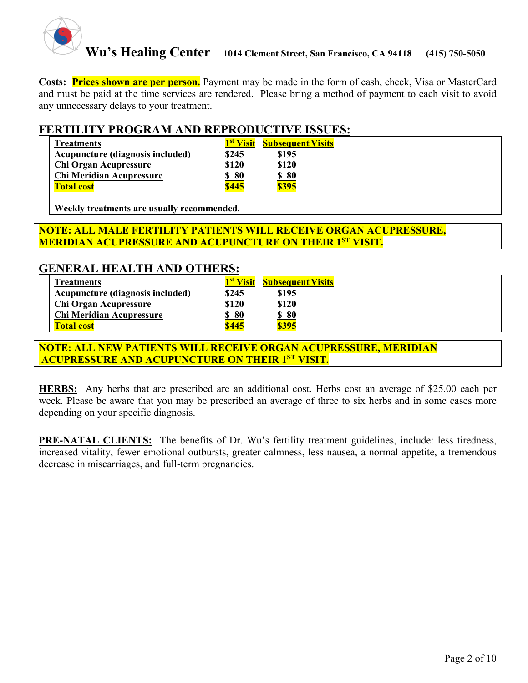

**Costs: Prices shown are per person.** Payment may be made in the form of cash, check, Visa or MasterCard and must be paid at the time services are rendered. Please bring a method of payment to each visit to avoid any unnecessary delays to your treatment.

### **FERTILITY PROGRAM AND REPRODUCTIVE ISSUES:**

| <b>Treatments</b>                |              | 1 <sup>st</sup> Visit Subsequent Visits |
|----------------------------------|--------------|-----------------------------------------|
| Acupuncture (diagnosis included) | \$245        | \$195                                   |
| Chi Organ Acupressure            | \$120        | \$120                                   |
| <b>Chi Meridian Acupressure</b>  | \$80         | \$80                                    |
| <b>Total cost</b>                | <b>\$445</b> | <b>\$395</b>                            |

**Weekly treatments are usually recommended.** 

### **NOTE: ALL MALE FERTILITY PATIENTS WILL RECEIVE ORGAN ACUPRESSURE, MERIDIAN ACUPRESSURE AND ACUPUNCTURE ON THEIR 1ST VISIT.**

### **GENERAL HEALTH AND OTHERS:**

| <b>Treatments</b>                | 1 <sup>st</sup> Visit | <b>Subsequent Visits</b> |
|----------------------------------|-----------------------|--------------------------|
| Acupuncture (diagnosis included) | \$245                 | \$195                    |
| Chi Organ Acupressure            | \$120                 | \$120                    |
| Chi Meridian Acupressure         | <u>\$80</u>           | <u>\$80</u>              |
| <b>Total cost</b>                | \$445                 | \$395                    |

**NOTE: ALL NEW PATIENTS WILL RECEIVE ORGAN ACUPRESSURE, MERIDIAN ACUPRESSURE AND ACUPUNCTURE ON THEIR 1ST VISIT.**

**HERBS:** Any herbs that are prescribed are an additional cost. Herbs cost an average of \$25.00 each per week. Please be aware that you may be prescribed an average of three to six herbs and in some cases more depending on your specific diagnosis.

**PRE-NATAL CLIENTS:** The benefits of Dr. Wu's fertility treatment guidelines, include: less tiredness, increased vitality, fewer emotional outbursts, greater calmness, less nausea, a normal appetite, a tremendous decrease in miscarriages, and full-term pregnancies.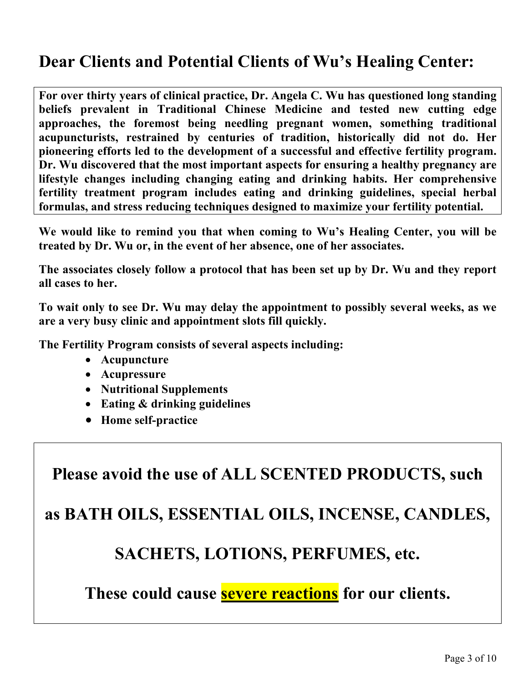# **Dear Clients and Potential Clients of Wu's Healing Center:**

**For over thirty years of clinical practice, Dr. Angela C. Wu has questioned long standing beliefs prevalent in Traditional Chinese Medicine and tested new cutting edge approaches, the foremost being needling pregnant women, something traditional acupuncturists, restrained by centuries of tradition, historically did not do. Her pioneering efforts led to the development of a successful and effective fertility program. Dr. Wu discovered that the most important aspects for ensuring a healthy pregnancy are lifestyle changes including changing eating and drinking habits. Her comprehensive fertility treatment program includes eating and drinking guidelines, special herbal formulas, and stress reducing techniques designed to maximize your fertility potential.** 

**We would like to remind you that when coming to Wu's Healing Center, you will be treated by Dr. Wu or, in the event of her absence, one of her associates.**

**The associates closely follow a protocol that has been set up by Dr. Wu and they report all cases to her.** 

**To wait only to see Dr. Wu may delay the appointment to possibly several weeks, as we are a very busy clinic and appointment slots fill quickly.**

**The Fertility Program consists of several aspects including:** 

- **Acupuncture**
- **Acupressure**
- **Nutritional Supplements**
- **Eating & drinking guidelines**
- **Home self-practice**

**Please avoid the use of ALL SCENTED PRODUCTS, such**

**as BATH OILS, ESSENTIAL OILS, INCENSE, CANDLES,**

# **SACHETS, LOTIONS, PERFUMES, etc.**

**These could cause severe reactions for our clients.**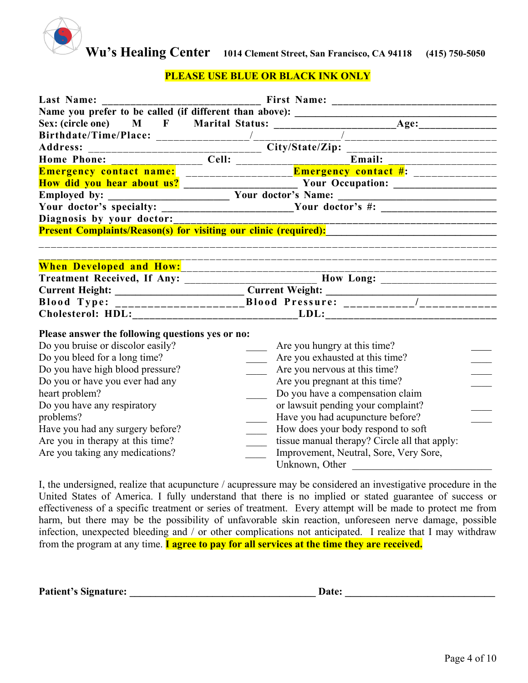

#### **PLEASE USE BLUE OR BLACK INK ONLY**

| Last Name:                                                                                                                                                                                                                                                                                                                                                             |                                                                                                                                                                                                                                                                                                                                                                                                                                                                                                                                            |                                                                                                                                                                                                                                                                                                                                                                                                     |  |  |
|------------------------------------------------------------------------------------------------------------------------------------------------------------------------------------------------------------------------------------------------------------------------------------------------------------------------------------------------------------------------|--------------------------------------------------------------------------------------------------------------------------------------------------------------------------------------------------------------------------------------------------------------------------------------------------------------------------------------------------------------------------------------------------------------------------------------------------------------------------------------------------------------------------------------------|-----------------------------------------------------------------------------------------------------------------------------------------------------------------------------------------------------------------------------------------------------------------------------------------------------------------------------------------------------------------------------------------------------|--|--|
| Diagnosis by your doctor:                                                                                                                                                                                                                                                                                                                                              | Name you prefer to be called (if different than above): ________________________<br>Sex: (circle one) $M$ $F$ Marital Status: $\frac{1}{\sqrt{1-\frac{1}{1-\frac{1}{1-\frac{1}{1-\frac{1}{1-\frac{1}{1-\frac{1}{1-\frac{1}{1-\frac{1}{1-\frac{1}{1-\frac{1}{1-\frac{1}{1-\frac{1}{1-\frac{1}{1-\frac{1}{1-\frac{1}{1-\frac{1}{1-\frac{1}{1-\frac{1}{1-\frac{1}{1-\frac{1}{1-\frac{1}{1-\frac{1}{1-\frac{1}{1-\frac{1}{1-\frac{1}{1-\frac{1}{1-\frac{1}{1-\frac{1}{1-\$<br>Present Complaints/Reason(s) for visiting our clinic (required): |                                                                                                                                                                                                                                                                                                                                                                                                     |  |  |
| When Developed and How: Manual Allen Developed and How:                                                                                                                                                                                                                                                                                                                | Treatment Received, If Any: ________________________ How Long: __________________                                                                                                                                                                                                                                                                                                                                                                                                                                                          |                                                                                                                                                                                                                                                                                                                                                                                                     |  |  |
| Please answer the following questions yes or no:<br>Do you bruise or discolor easily?<br>Do you bleed for a long time?<br>Do you have high blood pressure?<br>Do you or have you ever had any<br>heart problem?<br>Do you have any respiratory<br>problems?<br>Have you had any surgery before?<br>Are you in therapy at this time?<br>Are you taking any medications? |                                                                                                                                                                                                                                                                                                                                                                                                                                                                                                                                            | Are you hungry at this time?<br>Are you exhausted at this time?<br>Are you nervous at this time?<br>Are you pregnant at this time?<br>Do you have a compensation claim<br>or lawsuit pending your complaint?<br>Have you had acupuncture before?<br>How does your body respond to soft<br>tissue manual therapy? Circle all that apply:<br>Improvement, Neutral, Sore, Very Sore,<br>Unknown, Other |  |  |

I, the undersigned, realize that acupuncture / acupressure may be considered an investigative procedure in the United States of America. I fully understand that there is no implied or stated guarantee of success or effectiveness of a specific treatment or series of treatment. Every attempt will be made to protect me from harm, but there may be the possibility of unfavorable skin reaction, unforeseen nerve damage, possible infection, unexpected bleeding and / or other complications not anticipated. I realize that I may withdraw from the program at any time. **I agree to pay for all services at the time they are received.** 

| <b>Patient's Signature:</b> | <b>Date:</b> |  |
|-----------------------------|--------------|--|
|                             |              |  |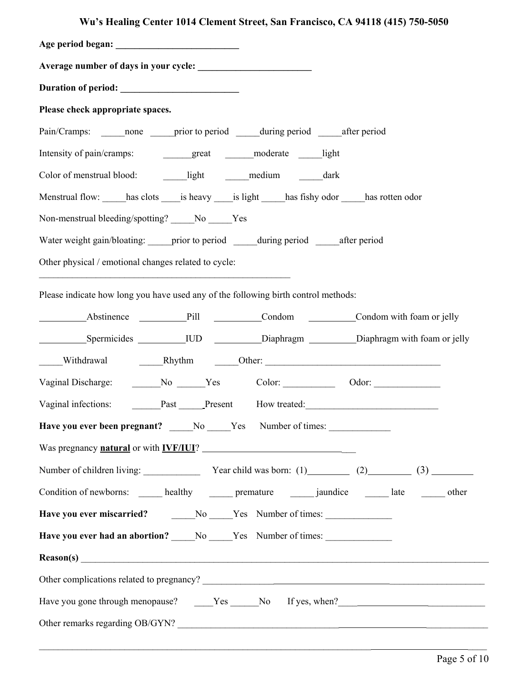## **Wu's Healing Center 1014 Clement Street, San Francisco, CA 94118 (415) 750-5050**

| Please check appropriate spaces.                                                                    |  |  |  |
|-----------------------------------------------------------------------------------------------------|--|--|--|
| Pain/Cramps: ______ none ______ prior to period _______ during period _______ after period          |  |  |  |
| Intensity of pain/cramps:<br>great moderate light                                                   |  |  |  |
|                                                                                                     |  |  |  |
| Menstrual flow: has clots is heavy is light has fishy odor has rotten odor                          |  |  |  |
| Non-menstrual bleeding/spotting? ______No ______Yes                                                 |  |  |  |
| Water weight gain/bloating: prior to period during period after period                              |  |  |  |
| Other physical / emotional changes related to cycle:                                                |  |  |  |
| Please indicate how long you have used any of the following birth control methods:                  |  |  |  |
| Abstinence Pill Condom Condom Condom with foam or jelly                                             |  |  |  |
|                                                                                                     |  |  |  |
| Withdrawal Minimum Marshall Rhythm Company Other:                                                   |  |  |  |
| Vaginal Discharge: ________No ______Yes Color: _______________ Odor: ____________                   |  |  |  |
| Vaginal infections: Past Present How treated:                                                       |  |  |  |
| Have you ever been pregnant? ____No ____Yes Number of times: ___________________                    |  |  |  |
| Was pregnancy <b>natural</b> or with <b>IVF/IUI</b> ?                                               |  |  |  |
| Number of children living: $\frac{\text{Year child was born: (1)}{(2)}}{(\frac{3}{2})}$ (3)         |  |  |  |
| Condition of newborns: ______ healthy _______ premature _______ jaundice _______ late _______ other |  |  |  |
|                                                                                                     |  |  |  |
| Have you ever had an abortion? _____No _____Yes Number of times: _______________                    |  |  |  |
|                                                                                                     |  |  |  |
|                                                                                                     |  |  |  |
|                                                                                                     |  |  |  |
| Other remarks regarding OB/GYN?                                                                     |  |  |  |

 $\_$  , and the contribution of the contribution of the contribution of the contribution of  $\mathcal{L}_\text{max}$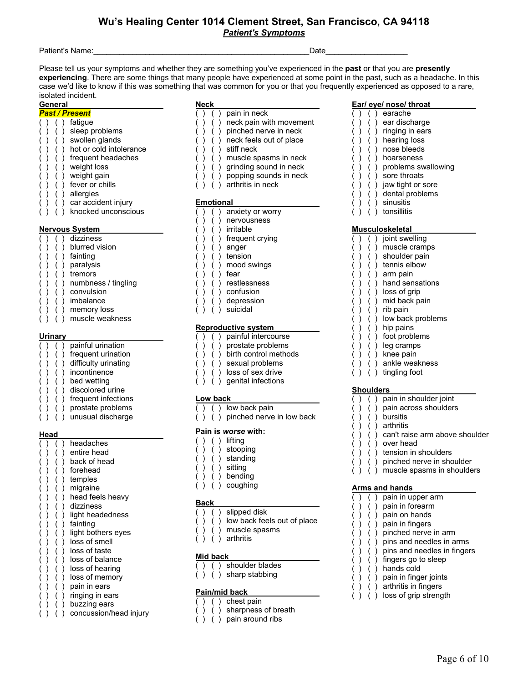#### **Wu's Healing Center 1014 Clement Street, San Francisco, CA 94118** *Patient's Symptoms*

Patient's Name:\_\_\_\_\_\_\_\_\_\_\_\_\_\_\_\_\_\_\_\_\_\_\_\_\_\_\_\_\_\_\_\_\_\_\_\_\_\_\_\_\_\_\_\_\_\_\_\_\_\_Date\_\_\_\_\_\_\_\_\_\_\_\_\_\_\_\_\_\_\_

Please tell us your symptoms and whether they are something you've experienced in the **past** or that you are **presently experiencing**. There are some things that many people have experienced at some point in the past, such as a headache. In this case we'd like to know if this was something that was common for you or that you frequently experienced as opposed to a rare, isolated incident.

#### **General**

- *Past / Present*  ( ) ( ) fatigue ( ) ( ) sleep problems ( ) ( ) swollen glands
- $( ) ( )$  ( ) hot or cold intolerance
- $( )$   $( )$  frequent headaches
- ( ) ( ) weight loss
- ( ) ( ) weight gain
- ( ) ( ) fever or chills
- 
- ( ) ( ) allergies
- ( ) ( ) car accident injury ( ) ( ) knocked unconscious

#### **Nervous System**

- ( ) ( ) dizziness ( ) ( ) blurred vision ( ) ( ) fainting
- ( ) ( ) paralysis
- ( ) ( ) tremors
- ( ) ( ) numbness / tingling
- $( )$   $( )$   $( )$  convulsion
- 
- ( ) ( ) imbalance
- ( ) ( ) memory loss ( ) ( ) muscle weakness

#### **Urinary**

- ( ) ( ) painful urination ( ) ( ) frequent urination
- ( ) ( ) difficulty urinating
- ( ) ( ) incontinence
- ( ) ( ) bed wetting
- ( ) ( ) discolored urine
- ( ) ( ) frequent infections
- ( ) ( ) prostate problems
- ( ) ( ) unusual discharge

#### **Head**

|  |  | headaches              |
|--|--|------------------------|
|  |  | entire head            |
|  |  | back of head           |
|  |  | forehead               |
|  |  | temples                |
|  |  | migraine               |
|  |  | head feels heavy       |
|  |  | dizziness              |
|  |  | light headedness       |
|  |  | fainting               |
|  |  | light bothers eyes     |
|  |  | loss of smell          |
|  |  | loss of taste          |
|  |  | loss of balance        |
|  |  | loss of hearing        |
|  |  | loss of memory         |
|  |  | pain in ears           |
|  |  | ringing in ears        |
|  |  | buzzing ears           |
|  |  | concussion/head injury |
|  |  |                        |

- 
- **Neck**<br>( ) ( ) pain in neck ( ) ( ) pain in neck
- ( ) ( ) neck pain with movement
- ( ) ( ) pinched nerve in neck
- ( ) ( ) neck feels out of place
- ( ) ( ) stiff neck
- ( ) ( ) muscle spasms in neck
- ( ) ( ) grinding sound in neck
- ( ) ( ) popping sounds in neck
- ( ) ( ) arthritis in neck

#### **Emotional**

- ( ) ( ) anxiety or worry
- ( ) ( ) nervousness
- ( ) ( ) irritable
- ( ) ( ) frequent crying
- ( ) ( ) anger
- ( ) ( ) tension
- ( ) ( ) mood swings
- ( ) ( ) fear
- ( ) ( ) restlessness
- ( ) ( ) confusion
- ( ) ( ) depression
- ( ) ( ) suicidal

#### **Reproductive system**

- ( ) ( ) painful intercourse
- ( ) ( ) prostate problems
- ( ) ( ) birth control methods
- ( ) ( ) sexual problems
- ( ) ( ) loss of sex drive
- ( ) ( ) genital infections

#### **Low back**

- ( ) ( ) low back pain
- ( ) ( ) pinched nerve in low back

#### **Pain is** *worse* **with:**

- ( ) ( ) lifting
- ( ) ( ) stooping
- ( ) ( ) standing
- ( ) ( ) sitting
- ( ) ( ) bending
- ( ) ( ) coughing

#### **Back**

- ( ) ( ) slipped disk
- ( ) ( ) low back feels out of place
- ( ) ( ) muscle spasms
- ( ) ( ) arthritis

#### **Mid back**

- ( ) ( ) shoulder blades
- $( )$  ( ) sharp stabbing

#### **Pain/mid back**

- $( )$  chest pain
- ( ) ( ) sharpness of breath
- ( ) ( ) pain around ribs

#### **Ear/ eye/ nose/ throat**

- ( ) ( ) earache
- ( ) ( ) ear discharge
- ( ) ( ) ringing in ears
- ( ) ( ) hearing loss
- ( ) ( ) nose bleeds
- ( ) ( ) hoarseness
- ( ) ( ) problems swallowing

Page 6 of 10

- ( ) ( ) sore throats
- ( ) ( ) jaw tight or sore
- $( )$   $( )$  dental problems<br> $( )$   $( )$  sinusitis
- ( ) ( ) sinusitis
- ( ) ( ) tonsillitis **Musculoskeletal**

( ) ( ) joint swelling ( ) ( ) muscle cramps ( ) ( ) shoulder pain ( ) ( ) tennis elbow ( ) ( ) arm pain ( ) ( ) hand sensations ( ) ( ) loss of grip ( ) ( ) mid back pain ( ) ( ) rib pain

( ) ( ) low back problems

( ) ( ) pain in shoulder joint ( ) ( ) pain across shoulders

( ) ( ) tension in shoulders ( ) ( ) pinched nerve in shoulder  $( )$   $( )$  muscle spasms in shoulders

( ) ( ) pain in upper arm ( ) ( ) pain in forearm ( ) ( ) pain on hands ( ) ( ) pain in fingers ( ) ( ) pinched nerve in arm ( ) ( ) pins and needles in arms ( ) ( ) pins and needles in fingers

 $( )$   $( )$  fingers go to sleep  $( )$   $( )$   $( )$  hands cold ( ) ( ) pain in finger joints ( ) ( ) arthritis in fingers ( ) ( ) loss of grip strength

( ) ( ) can't raise arm above shoulder

( ) ( ) hip pains ( ) ( ) foot problems ( ) ( ) leg cramps ( ) ( ) knee pain ( ) ( ) ankle weakness ( ) ( ) tingling foot

**Shoulders** 

( ) ( ) bursitis ( ) ( ) arthritis

( ) ( ) over head

**Arms and hands**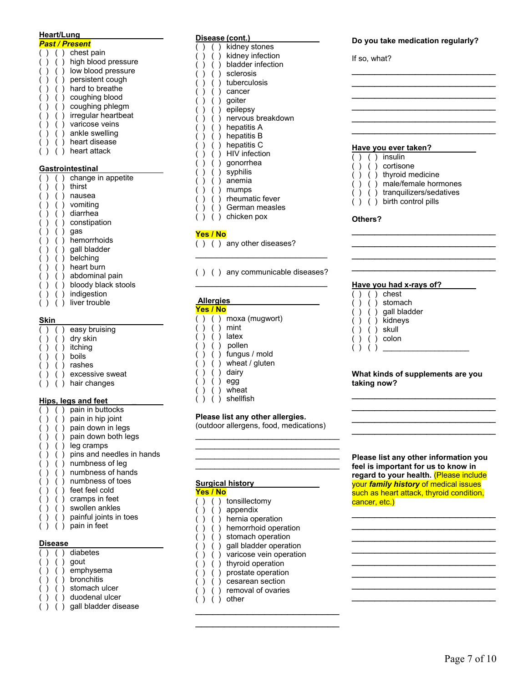#### **Heart/Lung**

| Past / Present   |  |  |                     |  |  |  |  |
|------------------|--|--|---------------------|--|--|--|--|
|                  |  |  | chest pain          |  |  |  |  |
|                  |  |  | high blood pressure |  |  |  |  |
|                  |  |  | low blood pressure  |  |  |  |  |
|                  |  |  | persistent cough    |  |  |  |  |
|                  |  |  | hard to breathe     |  |  |  |  |
|                  |  |  | coughing blood      |  |  |  |  |
|                  |  |  | coughing phlegm     |  |  |  |  |
|                  |  |  | irregular heartbeat |  |  |  |  |
|                  |  |  | varicose veins      |  |  |  |  |
|                  |  |  | ankle swelling      |  |  |  |  |
|                  |  |  | heart disease       |  |  |  |  |
|                  |  |  | heart attack        |  |  |  |  |
|                  |  |  |                     |  |  |  |  |
| Gastrointestinal |  |  |                     |  |  |  |  |
|                  |  |  | change in appetite  |  |  |  |  |

|  |  | onango in appouto   |
|--|--|---------------------|
|  |  | thirst              |
|  |  | nausea              |
|  |  | vomiting            |
|  |  | diarrhea            |
|  |  | constipation        |
|  |  | gas                 |
|  |  | hemorrhoids         |
|  |  | gall bladder        |
|  |  | belching            |
|  |  | heart burn          |
|  |  | abdominal pain      |
|  |  | bloody black stools |
|  |  | indianction         |

( ) indigestion  $( )$  ( ) indigender.<br>( ) ( ) liver trouble

#### **Skin**

|  | easy bruising   |
|--|-----------------|
|  | dry skin        |
|  | itching         |
|  | boils           |
|  | rashes          |
|  | excessive sweat |
|  | hair changes    |
|  |                 |

#### **Hips, legs and feet \_**

- ( ) ( ) pain in buttocks
- ( ) ( ) pain in hip joint
- ( ) ( ) pain down in legs
- ( ) ( ) pain down both legs
- ( ) ( ) leg cramps
- ( ) ( ) pins and needles in hands
- ( ) ( ) numbness of leg
- ( ) ( ) numbness of hands
- ( ) ( ) numbness of toes
- ( ) ( ) feet feel cold
- ( ) ( ) cramps in feet
- ( ) ( ) swollen ankles ( ) ( ) painful joints in toes
- $( ) ( )$  ( ) pain in feet
- 

#### **Disease**

|  | diabetes             |
|--|----------------------|
|  | gout                 |
|  | emphysema            |
|  | bronchitis           |
|  | stomach ulcer        |
|  | duodenal ulcer       |
|  | gall bladder disease |
|  |                      |

#### **Disease (cont.)**

| Disease (cont.) |  |  |                      |
|-----------------|--|--|----------------------|
|                 |  |  | kidney stones        |
|                 |  |  | kidney infection     |
|                 |  |  | bladder infection    |
|                 |  |  | sclerosis            |
|                 |  |  | tuberculosis         |
|                 |  |  | cancer               |
|                 |  |  | qoiter               |
|                 |  |  | epilepsy             |
|                 |  |  | nervous breakdown    |
|                 |  |  | hepatitis A          |
|                 |  |  | hepatitis B          |
|                 |  |  | hepatitis C          |
|                 |  |  | <b>HIV</b> infection |
|                 |  |  | gonorrhea            |
|                 |  |  | syphilis             |
|                 |  |  | anemia               |
|                 |  |  | mumps                |
|                 |  |  | rheumatic fever      |

- ( ) German measles
- ( ) ( ) chicken pox

#### **Yes / No**

- ( ) ( ) any other diseases?
- ( ) ( ) any communicable diseases? \_\_\_\_\_\_\_\_\_\_\_\_\_\_\_\_\_\_\_\_\_\_\_\_\_

\_\_\_\_\_\_\_\_\_\_\_\_\_\_\_\_\_\_\_\_\_\_\_\_\_

| <b>Allergies</b> |  |          |                |  |  |  |  |
|------------------|--|----------|----------------|--|--|--|--|
|                  |  | Yes / No |                |  |  |  |  |
|                  |  |          | moxa (mugwort) |  |  |  |  |
|                  |  |          | mint           |  |  |  |  |
|                  |  |          | latex          |  |  |  |  |
|                  |  |          | pollen         |  |  |  |  |
|                  |  |          | fungus / mold  |  |  |  |  |
|                  |  |          | wheat / gluten |  |  |  |  |
|                  |  |          | dairy          |  |  |  |  |
|                  |  |          |                |  |  |  |  |

- egg
- $( )$  wheat
- ( ) shellfish

#### **Please list any other allergies.**

(outdoor allergens, food, medications) \_\_\_\_\_\_\_\_\_\_\_\_\_\_\_\_\_\_\_\_\_\_\_\_\_\_\_\_\_\_

\_\_\_\_\_\_\_\_\_\_\_\_\_\_\_\_\_\_\_\_\_\_\_\_\_\_\_\_\_\_

|  | Yes / No | <b>Surgical history</b> |
|--|----------|-------------------------|
|  |          | tonsillectomy           |
|  |          | appendix                |
|  |          | hernia operation        |
|  |          | hemorrhoid operation    |
|  |          | stomach operation       |
|  |          | gall bladder operation  |
|  |          | varicose vein operation |
|  |          | thyroid operation       |
|  |          | prostate operation      |
|  |          | cesarean section        |
|  |          | removal of ovaries      |
|  |          | other                   |

\_\_\_\_\_\_\_\_\_\_\_\_\_\_\_\_\_\_\_\_\_\_\_\_\_

#### **Do you take medication regularly?**

\_\_\_\_\_\_\_\_\_\_\_\_\_\_\_\_\_\_\_\_\_\_\_\_\_ \_\_\_\_\_\_\_\_\_\_\_\_\_\_\_\_\_\_\_\_\_\_\_\_\_ \_\_\_\_\_\_\_\_\_\_\_\_\_\_\_\_\_\_\_\_\_\_\_\_\_ \_\_\_\_\_\_\_\_\_\_\_\_\_\_\_\_\_\_\_\_\_\_\_\_\_ \_\_\_\_\_\_\_\_\_\_\_\_\_\_\_\_\_\_\_\_\_\_\_\_\_ \_\_\_\_\_\_\_\_\_\_\_\_\_\_\_\_\_\_\_\_\_\_\_\_\_

If so, what?

#### **Have you ever taken?**

- $( )$   $( )$  insulin
- ( ) ( ) cortisone
- ( ) ( ) thyroid medicine
- ( ) ( ) male/female hormones

\_\_\_\_\_\_\_\_\_\_\_\_\_\_\_\_\_\_\_\_\_\_\_\_\_ \_\_\_\_\_\_\_\_\_\_\_\_\_\_\_\_\_\_\_\_\_\_\_\_\_ \_\_\_\_\_\_\_\_\_\_\_\_\_\_\_\_\_\_\_\_\_\_\_\_\_ \_\_\_\_\_\_\_\_\_\_\_\_\_\_\_\_\_\_\_\_\_\_\_\_\_

- ( ) ( ) tranquilizers/sedatives
- ( ) ( ) birth control pills

#### **Others?**

٦

#### **Have you had x-rays of?**

- ( ) ( ) chest
- ( ) ( ) stomach
- ( ) ( ) gall bladder
- ( ) ( ) kidneys
- ( ) ( ) skull
- ( ) ( ) colon
- $( )$   $( )$

#### **What kinds of supplements are you taking now?**

\_\_\_\_\_\_\_\_\_\_\_\_\_\_\_\_\_\_\_\_\_\_\_\_\_ \_\_\_\_\_\_\_\_\_\_\_\_\_\_\_\_\_\_\_\_\_\_\_\_\_ \_\_\_\_\_\_\_\_\_\_\_\_\_\_\_\_\_\_\_\_\_\_\_\_\_ \_\_\_\_\_\_\_\_\_\_\_\_\_\_\_\_\_\_\_\_\_\_\_\_\_

**Please list any other information you feel is important for us to know in regard to your health.** (Please include your *family history* of medical issues such as heart attack, thyroid condition, cancer, etc.)

\_\_\_\_\_\_\_\_\_\_\_\_\_\_\_\_\_\_\_\_\_\_\_\_\_ \_\_\_\_\_\_\_\_\_\_\_\_\_\_\_\_\_\_\_\_\_\_\_\_\_ \_\_\_\_\_\_\_\_\_\_\_\_\_\_\_\_\_\_\_\_\_\_\_\_\_ \_\_\_\_\_\_\_\_\_\_\_\_\_\_\_\_\_\_\_\_\_\_\_\_\_ \_\_\_\_\_\_\_\_\_\_\_\_\_\_\_\_\_\_\_\_\_\_\_\_\_ \_\_\_\_\_\_\_\_\_\_\_\_\_\_\_\_\_\_\_\_\_\_\_\_\_ \_\_\_\_\_\_\_\_\_\_\_\_\_\_\_\_\_\_\_\_\_\_\_\_\_ \_\_\_\_\_\_\_\_\_\_\_\_\_\_\_\_\_\_\_\_\_\_\_\_\_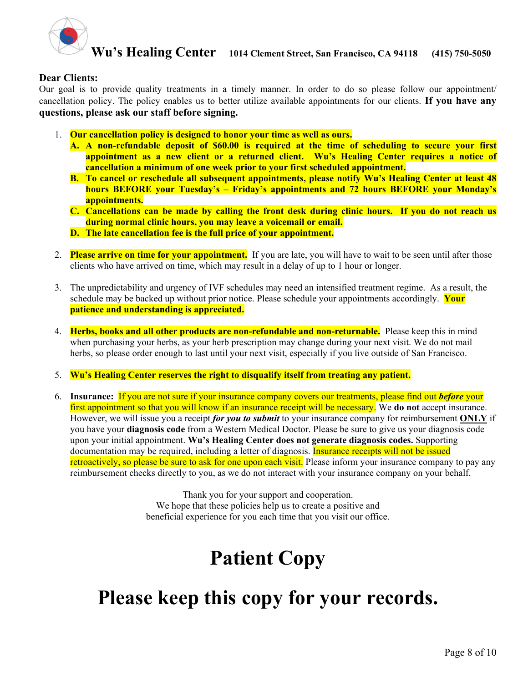

#### **Dear Clients:**

Our goal is to provide quality treatments in a timely manner. In order to do so please follow our appointment/ cancellation policy. The policy enables us to better utilize available appointments for our clients. **If you have any questions, please ask our staff before signing.**

- 1. **Our cancellation policy is designed to honor your time as well as ours.**
	- **A. A non-refundable deposit of \$60.00 is required at the time of scheduling to secure your first appointment as a new client or a returned client. Wu's Healing Center requires a notice of cancellation a minimum of one week prior to your first scheduled appointment.**
	- **B. To cancel or reschedule all subsequent appointments, please notify Wu's Healing Center at least 48 hours BEFORE your Tuesday's – Friday's appointments and 72 hours BEFORE your Monday's appointments.**
	- **C. Cancellations can be made by calling the front desk during clinic hours. If you do not reach us during normal clinic hours, you may leave a voicemail or email.**
	- **D. The late cancellation fee is the full price of your appointment.**
- 2. **Please arrive on time for your appointment.** If you are late, you will have to wait to be seen until after those clients who have arrived on time, which may result in a delay of up to 1 hour or longer.
- 3. The unpredictability and urgency of IVF schedules may need an intensified treatment regime. As a result, the schedule may be backed up without prior notice. Please schedule your appointments accordingly. **Your patience and understanding is appreciated.**
- 4. **Herbs, books and all other products are non-refundable and non-returnable.** Please keep this in mind when purchasing your herbs, as your herb prescription may change during your next visit. We do not mail herbs, so please order enough to last until your next visit, especially if you live outside of San Francisco.
- 5. **Wu's Healing Center reserves the right to disqualify itself from treating any patient.**
- 6. **Insurance:** If you are not sure if your insurance company covers our treatments, please find out *before* your first appointment so that you will know if an insurance receipt will be necessary. We **do not** accept insurance. However, we will issue you a receipt *for you to submit* to your insurance company for reimbursement **ONLY** if you have your **diagnosis code** from a Western Medical Doctor. Please be sure to give us your diagnosis code upon your initial appointment. **Wu's Healing Center does not generate diagnosis codes.** Supporting documentation may be required, including a letter of diagnosis. Insurance receipts will not be issued retroactively, so please be sure to ask for one upon each visit. Please inform your insurance company to pay any reimbursement checks directly to you, as we do not interact with your insurance company on your behalf.

Thank you for your support and cooperation. We hope that these policies help us to create a positive and beneficial experience for you each time that you visit our office.

# **Patient Copy**

# **Please keep this copy for your records.**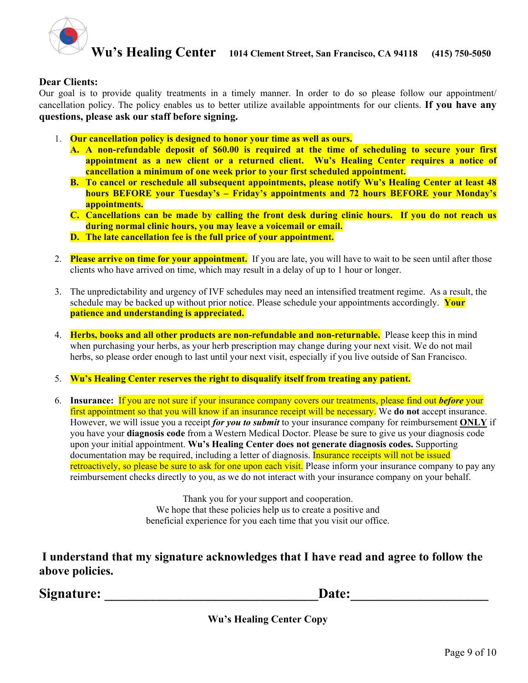

#### **Dear Clients:**

Our goal is to provide quality treatments in a timely manner. In order to do so please follow our appointment/ cancellation policy. The policy enables us to better utilize available appointments for our clients. **If you have any questions, please ask our staff before signing.**

- 1. **Our cancellation policy is designed to honor your time as well as ours.**
	- **A. A non-refundable deposit of \$60.00 is required at the time of scheduling to secure your first appointment as a new client or a returned client. Wu's Healing Center requires a notice of cancellation a minimum of one week prior to your first scheduled appointment.**
	- **B. To cancel or reschedule all subsequent appointments, please notify Wu's Healing Center at least 48 hours BEFORE your Tuesday's – Friday's appointments and 72 hours BEFORE your Monday's appointments.**
	- **C. Cancellations can be made by calling the front desk during clinic hours. If you do not reach us during normal clinic hours, you may leave a voicemail or email.**
	- **D. The late cancellation fee is the full price of your appointment.**
- 2. **Please arrive on time for your appointment.** If you are late, you will have to wait to be seen until after those clients who have arrived on time, which may result in a delay of up to 1 hour or longer.
- 3. The unpredictability and urgency of IVF schedules may need an intensified treatment regime. As a result, the schedule may be backed up without prior notice. Please schedule your appointments accordingly. **Your patience and understanding is appreciated.**
- 4. **Herbs, books and all other products are non-refundable and non-returnable.** Please keep this in mind when purchasing your herbs, as your herb prescription may change during your next visit. We do not mail herbs, so please order enough to last until your next visit, especially if you live outside of San Francisco.
- 5. **Wu's Healing Center reserves the right to disqualify itself from treating any patient.**
- 6. **Insurance:** If you are not sure if your insurance company covers our treatments, please find out *before* your first appointment so that you will know if an insurance receipt will be necessary. We **do not** accept insurance. However, we will issue you a receipt *for you to submit* to your insurance company for reimbursement **ONLY** if you have your **diagnosis code** from a Western Medical Doctor. Please be sure to give us your diagnosis code upon your initial appointment. **Wu's Healing Center does not generate diagnosis codes.** Supporting documentation may be required, including a letter of diagnosis. Insurance receipts will not be issued retroactively, so please be sure to ask for one upon each visit. Please inform your insurance company to pay any reimbursement checks directly to you, as we do not interact with your insurance company on your behalf.

Thank you for your support and cooperation. We hope that these policies help us to create a positive and beneficial experience for you each time that you visit our office.

**I understand that my signature acknowledges that I have read and agree to follow the above policies.** 

Signature: **Example 2.1 and 2.1 and 2.1 and 2.1 and 2.1 and 2.1 and 2.1 and 2.1 and 2.1 and 2.1 and 2.1 and 2.1 and 2.1 and 2.1 and 2.1 and 2.1 and 2.1 and 2.1 and 2.1 and 2.1 and 2.1 and 2.1 and 2.1 and 2.1 and 2.1 and 2.** 

**Wu's Healing Center Copy**